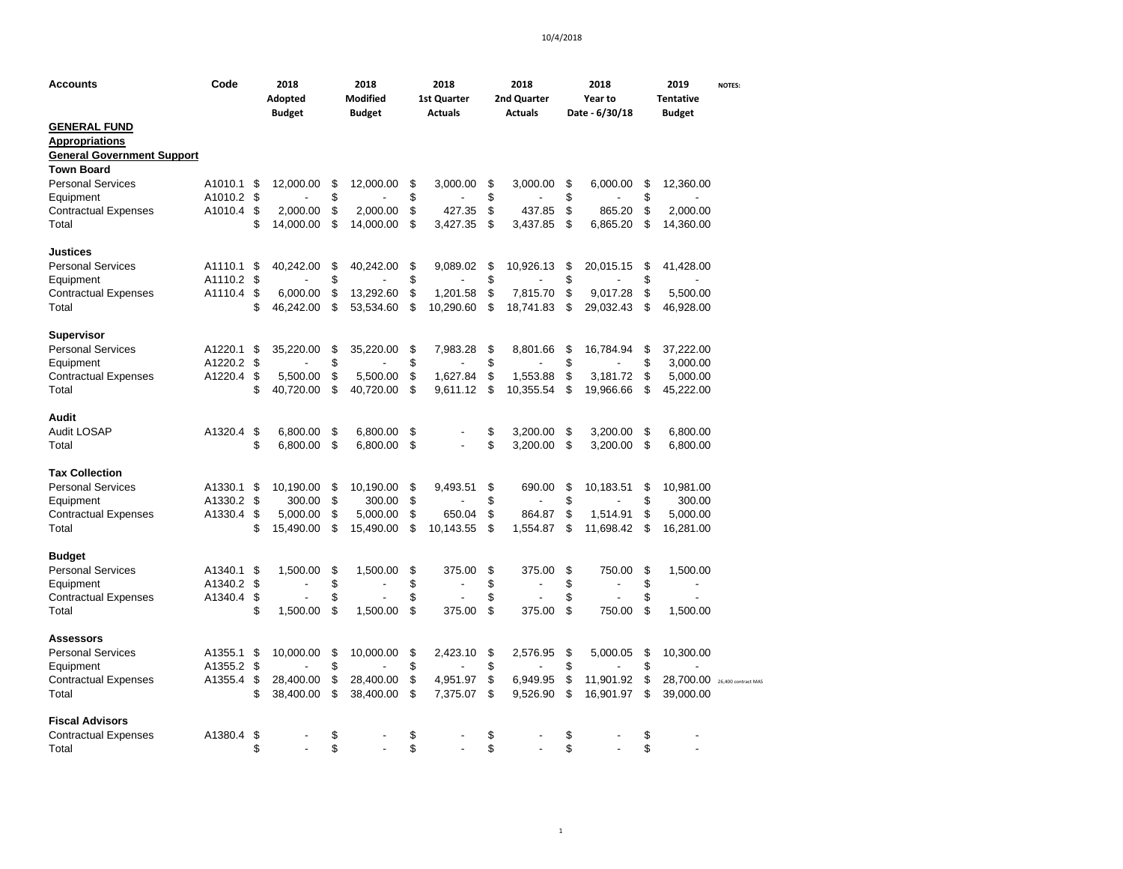| Accounts                                     | Code       |          | 2018<br>Adopted<br><b>Budget</b> |          | 2018<br><b>Modified</b><br><b>Budget</b> |          | 2018<br>1st Quarter<br><b>Actuals</b> |          | 2018<br>2nd Quarter<br><b>Actuals</b> |          | 2018<br>Year to<br>Date - 6/30/18 |          | 2019<br>Tentative<br>Budget   | <b>NOTES:</b> |
|----------------------------------------------|------------|----------|----------------------------------|----------|------------------------------------------|----------|---------------------------------------|----------|---------------------------------------|----------|-----------------------------------|----------|-------------------------------|---------------|
| <b>GENERAL FUND</b><br><b>Appropriations</b> |            |          |                                  |          |                                          |          |                                       |          |                                       |          |                                   |          |                               |               |
| <b>General Government Support</b>            |            |          |                                  |          |                                          |          |                                       |          |                                       |          |                                   |          |                               |               |
| <b>Town Board</b>                            |            |          |                                  |          |                                          |          |                                       |          |                                       |          |                                   |          |                               |               |
| <b>Personal Services</b>                     | A1010.1    | - \$     | 12,000.00                        | \$       | 12,000.00                                | \$       | 3.000.00                              | \$       | 3,000.00                              | \$       | 6,000.00                          | \$       | 12,360.00                     |               |
| Equipment                                    | A1010.2    | \$       |                                  | \$       |                                          | \$       |                                       | \$       |                                       | \$       |                                   | \$       |                               |               |
| <b>Contractual Expenses</b>                  | A1010.4    | \$       | 2.000.00                         | \$       | 2.000.00                                 | \$       | 427.35                                | \$       | 437.85                                | \$       | 865.20                            | \$       | 2.000.00                      |               |
| Total                                        |            | \$       | 14,000.00                        | \$       | 14,000.00                                | \$       | 3,427.35                              | \$       | 3,437.85                              | \$       | 6,865.20                          | \$       | 14,360.00                     |               |
| <b>Justices</b>                              |            |          |                                  |          |                                          |          |                                       |          |                                       |          |                                   |          |                               |               |
| <b>Personal Services</b>                     | A1110.1    | \$       | 40,242.00                        | \$       | 40,242.00                                | \$       | 9,089.02                              | \$       | 10,926.13                             | \$       | 20,015.15                         | \$       | 41,428.00                     |               |
| Equipment                                    | A1110.2    | \$       |                                  | \$       |                                          | \$       |                                       | \$       |                                       | \$       |                                   | \$       |                               |               |
| <b>Contractual Expenses</b>                  | A1110.4    | \$       | 6,000.00                         | \$       | 13,292.60                                | \$       | 1,201.58                              | \$       | 7,815.70                              | \$       | 9,017.28                          | \$       | 5,500.00                      |               |
| Total                                        |            | \$       | 46,242.00                        | \$       | 53,534.60                                | \$       | 10,290.60                             | \$       | 18,741.83                             | \$       | 29,032.43                         | \$       | 46,928.00                     |               |
| <b>Supervisor</b>                            |            |          |                                  |          |                                          |          |                                       |          |                                       |          |                                   |          |                               |               |
| <b>Personal Services</b>                     | A1220.1    | \$       | 35,220.00                        | \$       | 35,220.00                                | \$       | 7,983.28                              | \$       | 8,801.66                              | \$       | 16,784.94                         | \$       | 37,222.00                     |               |
| Equipment                                    | A1220.2    | \$       |                                  | \$       |                                          | \$       |                                       | \$       |                                       | \$       |                                   | \$       | 3,000.00                      |               |
| <b>Contractual Expenses</b>                  | A1220.4    | \$       | 5,500.00                         | \$       | 5,500.00                                 | \$       | 1,627.84                              | \$       | 1,553.88                              | \$       | 3,181.72                          | \$       | 5,000.00                      |               |
| Total                                        |            | \$       | 40,720.00                        | \$       | 40,720.00                                | \$       | 9,611.12                              | \$       | 10,355.54                             | \$       | 19,966.66                         | \$       | 45,222.00                     |               |
| <b>Audit</b>                                 |            |          |                                  |          |                                          |          |                                       |          |                                       |          |                                   |          |                               |               |
| <b>Audit LOSAP</b>                           | A1320.4    | \$       | 6,800.00                         | \$       | 6,800.00                                 | \$       |                                       | \$       | 3,200.00                              | \$       | 3,200.00                          | \$       | 6,800.00                      |               |
| Total                                        |            | \$       | 6,800.00                         | \$       | 6,800.00                                 | \$       |                                       | \$       | 3,200.00                              | \$       | 3,200.00                          | \$       | 6,800.00                      |               |
| <b>Tax Collection</b>                        |            |          |                                  |          |                                          |          |                                       |          |                                       |          |                                   |          |                               |               |
| <b>Personal Services</b>                     | A1330.1    | \$       | 10,190.00                        | \$       | 10,190.00                                | \$       | 9,493.51                              | \$       | 690.00                                | \$       | 10,183.51                         | \$       | 10,981.00                     |               |
| Equipment                                    | A1330.2 \$ |          | 300.00                           | \$       | 300.00                                   | \$       |                                       | \$       |                                       | \$       |                                   | \$       | 300.00                        |               |
| <b>Contractual Expenses</b>                  | A1330.4    | \$       | 5,000.00                         | \$       | 5,000.00                                 | \$       | 650.04                                | \$       | 864.87                                | \$       | 1,514.91                          | \$       | 5,000.00                      |               |
| Total                                        |            | \$       | 15,490.00                        | \$       | 15,490.00                                | \$       | 10,143.55                             | \$       | 1,554.87                              | \$       | 11,698.42                         | \$       | 16,281.00                     |               |
| <b>Budget</b>                                |            |          |                                  |          |                                          |          |                                       |          |                                       |          |                                   |          |                               |               |
| <b>Personal Services</b>                     | A1340.1    | \$       | 1,500.00                         | \$       | 1,500.00                                 | \$       | 375.00                                | \$       | 375.00                                | \$       | 750.00                            | \$       | 1,500.00                      |               |
| Equipment                                    | A1340.2    | \$       |                                  | \$       |                                          | \$       |                                       | \$       |                                       | \$       |                                   | \$       | $\overline{\phantom{a}}$      |               |
| <b>Contractual Expenses</b><br>Total         | A1340.4    | \$<br>\$ | 1,500.00                         | \$<br>\$ | 1,500.00                                 | \$<br>\$ | 375.00                                | \$<br>\$ | 375.00                                | \$<br>\$ | 750.00                            | \$<br>\$ | 1,500.00                      |               |
| <b>Assessors</b>                             |            |          |                                  |          |                                          |          |                                       |          |                                       |          |                                   |          |                               |               |
| <b>Personal Services</b>                     | A1355.1    | \$       | 10,000.00                        | \$       | 10,000.00                                | \$       | 2,423.10                              | \$       | 2,576.95                              | \$       | 5,000.05                          | \$       | 10,300.00                     |               |
| Equipment                                    | A1355.2    | \$       |                                  | \$       |                                          | \$       |                                       | \$       |                                       | \$       |                                   | \$       |                               |               |
| <b>Contractual Expenses</b>                  | A1355.4    | \$       | 28,400.00                        | \$       | 28,400.00                                | \$       | 4,951.97                              | \$       | 6,949.95                              | \$       | 11,901.92                         | \$       | 28,700.00 26,400 contract MAS |               |
| Total                                        |            | \$       | 38,400.00                        | \$       | 38,400.00                                | \$       | 7,375.07                              | \$       | 9,526.90                              | \$       | 16,901.97                         | \$       | 39,000.00                     |               |
| <b>Fiscal Advisors</b>                       |            |          |                                  |          |                                          |          |                                       |          |                                       |          |                                   |          |                               |               |
| <b>Contractual Expenses</b>                  | A1380.4    | \$       |                                  | \$       |                                          | \$       |                                       | \$       |                                       | \$       |                                   | \$       |                               |               |
| Total                                        |            | \$       |                                  | \$       |                                          | \$       |                                       | \$       |                                       | \$       |                                   | \$       |                               |               |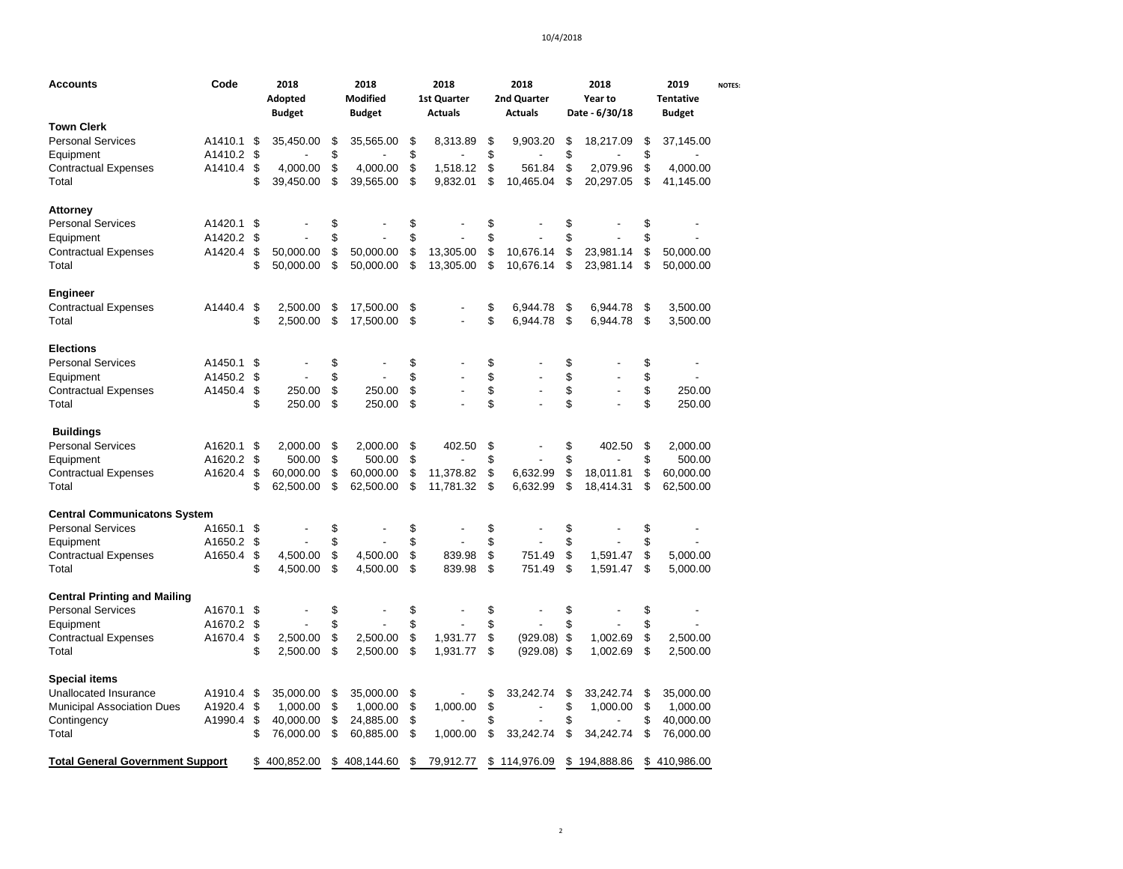| Accounts                                | Code       |                | 2018<br>Adopted<br><b>Budget</b> |          | 2018<br><b>Modified</b><br><b>Budget</b> | 2018<br>2018<br>2nd Quarter<br><b>1st Quarter</b><br><b>Actuals</b><br><b>Actuals</b> |                          |          | 2018<br>Year to<br>Date - 6/30/18 |                            | 2019<br><b>Tentative</b><br><b>Budget</b> | <b>NOTES:</b>        |  |
|-----------------------------------------|------------|----------------|----------------------------------|----------|------------------------------------------|---------------------------------------------------------------------------------------|--------------------------|----------|-----------------------------------|----------------------------|-------------------------------------------|----------------------|--|
| <b>Town Clerk</b>                       |            |                |                                  |          |                                          |                                                                                       |                          |          |                                   |                            |                                           |                      |  |
| <b>Personal Services</b>                | A1410.1    | \$             | 35,450.00                        | \$       | 35,565.00                                | \$                                                                                    | 8.313.89                 | \$       | 9,903.20                          | \$<br>18,217.09            | \$                                        | 37,145.00            |  |
| Equipment                               | A1410.2 \$ |                |                                  | \$       |                                          | \$                                                                                    |                          | \$       |                                   | \$                         | \$                                        |                      |  |
| <b>Contractual Expenses</b>             | A1410.4 \$ |                | 4,000.00                         | \$       | 4,000.00                                 | \$                                                                                    | 1,518.12                 | \$       | 561.84                            | \$<br>2,079.96             | \$                                        | 4,000.00             |  |
| Total                                   |            | \$             | 39,450.00                        | \$       | 39,565.00                                | \$                                                                                    | 9,832.01                 | \$       | 10,465.04                         | \$<br>20,297.05            | \$                                        | 41,145.00            |  |
| <b>Attorney</b>                         |            |                |                                  |          |                                          |                                                                                       |                          |          |                                   |                            |                                           |                      |  |
| <b>Personal Services</b>                | A1420.1    | \$             |                                  | \$       |                                          | \$                                                                                    |                          | \$       |                                   | \$                         | \$                                        |                      |  |
| Equipment                               | A1420.2    | \$             |                                  | \$       |                                          | \$                                                                                    |                          | \$       |                                   | \$                         | \$                                        |                      |  |
| <b>Contractual Expenses</b>             | A1420.4    | \$             | 50,000.00                        | \$       | 50,000.00                                | \$                                                                                    | 13,305.00                | \$       | 10,676.14                         | \$<br>23,981.14            | \$                                        | 50,000.00            |  |
| Total                                   |            | \$             | 50,000.00                        | \$       | 50,000.00                                | \$                                                                                    | 13,305.00                | \$       | 10,676.14                         | \$<br>23,981.14            | \$                                        | 50,000.00            |  |
| Engineer                                |            |                |                                  |          |                                          |                                                                                       |                          |          |                                   |                            |                                           |                      |  |
| <b>Contractual Expenses</b>             | A1440.4    | \$             | 2,500.00                         | \$       | 17,500.00                                | \$                                                                                    |                          | \$       | 6,944.78                          | \$<br>6,944.78             | \$                                        | 3,500.00             |  |
| Total                                   |            | \$             | 2,500.00                         | \$       | 17,500.00                                | \$                                                                                    |                          | \$       | 6,944.78                          | \$<br>6,944.78             | \$                                        | 3,500.00             |  |
| Elections                               |            |                |                                  |          |                                          |                                                                                       |                          |          |                                   |                            |                                           |                      |  |
| <b>Personal Services</b>                | A1450.1    | \$             |                                  | \$       |                                          | \$                                                                                    |                          | \$       |                                   | \$                         | \$                                        |                      |  |
| Equipment                               | A1450.2    | \$             |                                  | \$       |                                          | \$                                                                                    |                          | \$       |                                   | \$                         | \$                                        |                      |  |
| Contractual Expenses                    | A1450.4    | \$             | 250.00                           | \$       | 250.00                                   | \$                                                                                    |                          | \$       |                                   | \$                         | \$                                        | 250.00               |  |
| Total                                   |            | \$             | 250.00                           | \$       | 250.00                                   | \$                                                                                    |                          | \$       |                                   | \$                         | \$                                        | 250.00               |  |
| <b>Buildings</b>                        |            |                |                                  |          |                                          |                                                                                       |                          |          |                                   |                            |                                           |                      |  |
| <b>Personal Services</b>                | A1620.1    | \$             | 2,000.00                         | \$       | 2,000.00                                 | \$                                                                                    | 402.50                   | \$       |                                   | \$<br>402.50               | \$                                        | 2,000.00             |  |
| Equipment                               | A1620.2    | \$             | 500.00                           | \$       | 500.00                                   | \$                                                                                    |                          | \$       |                                   | \$                         | \$                                        | 500.00               |  |
| <b>Contractual Expenses</b>             | A1620.4    | \$             | 60,000.00                        | \$       | 60,000.00                                | \$                                                                                    | 11,378.82                | \$       | 6,632.99                          | \$<br>18,011.81            | \$                                        | 60,000.00            |  |
| Total                                   |            | \$             | 62,500.00                        | \$       | 62,500.00                                | \$                                                                                    | 11,781.32                | \$       | 6,632.99                          | \$<br>18,414.31            | \$                                        | 62,500.00            |  |
| <b>Central Communicatons System</b>     |            |                |                                  |          |                                          |                                                                                       |                          |          |                                   |                            |                                           |                      |  |
| <b>Personal Services</b>                | A1650.1    | \$             |                                  | \$       |                                          | \$                                                                                    | $\overline{\phantom{a}}$ | \$       |                                   | \$                         | \$                                        |                      |  |
| Equipment                               | A1650.2 \$ |                |                                  | \$       |                                          | \$                                                                                    |                          | \$       |                                   | \$                         | \$                                        |                      |  |
| <b>Contractual Expenses</b>             | A1650.4    | \$             | 4,500.00                         | \$       | 4,500.00                                 | \$                                                                                    | 839.98                   | \$       | 751.49                            | \$<br>1,591.47             | \$                                        | 5,000.00             |  |
| Total                                   |            | \$             | 4,500.00                         | \$       | 4,500.00                                 | \$                                                                                    | 839.98                   | \$       | 751.49                            | \$<br>1,591.47             | \$                                        | 5,000.00             |  |
| <b>Central Printing and Mailing</b>     |            |                |                                  |          |                                          |                                                                                       |                          |          |                                   |                            |                                           |                      |  |
| <b>Personal Services</b>                | A1670.1    | $\mathfrak{s}$ |                                  | \$       |                                          | \$                                                                                    |                          | \$       |                                   | \$                         | \$                                        |                      |  |
| Equipment                               | A1670.2 \$ |                |                                  | \$       |                                          | \$                                                                                    |                          | \$       |                                   | \$                         | \$                                        |                      |  |
| <b>Contractual Expenses</b><br>Total    | A1670.4    | \$<br>\$       | 2,500.00<br>2,500.00             | \$<br>\$ | 2,500.00<br>2,500.00                     | \$<br>\$                                                                              | 1,931.77<br>1,931.77     | \$<br>\$ | (929.08)<br>$(929.08)$ \$         | \$<br>1,002.69<br>1,002.69 | \$<br>\$                                  | 2,500.00<br>2,500.00 |  |
|                                         |            |                |                                  |          |                                          |                                                                                       |                          |          |                                   |                            |                                           |                      |  |
| Special items                           |            |                |                                  |          |                                          |                                                                                       |                          |          |                                   |                            |                                           |                      |  |
| <b>Unallocated Insurance</b>            | A1910.4    | \$             | 35,000.00                        | \$       | 35,000.00                                | \$                                                                                    |                          | \$       | 33,242.74                         | \$<br>33,242.74            | \$                                        | 35,000.00            |  |
| <b>Municipal Association Dues</b>       | A1920.4    | \$             | 1,000.00                         | \$       | 1,000.00                                 | \$                                                                                    | 1,000.00                 | \$       |                                   | \$<br>1,000.00             | \$                                        | 1,000.00             |  |
| Contingency                             | A1990.4    | \$             | 40,000.00                        | \$       | 24,885.00                                | \$                                                                                    |                          | \$       |                                   | \$                         | \$                                        | 40,000.00            |  |
| Total                                   |            | \$             | 76,000.00                        | \$       | 60,885.00                                | \$                                                                                    | 1,000.00                 | \$       | 33,242.74                         | \$<br>34,242.74            | \$                                        | 76,000.00            |  |
| <b>Total General Government Support</b> |            | \$             | 400,852.00                       | \$       | 408,144.60                               | \$                                                                                    | 79,912.77                | \$       | 114,976.09                        | \$<br>194,888.86           | \$                                        | 410,986.00           |  |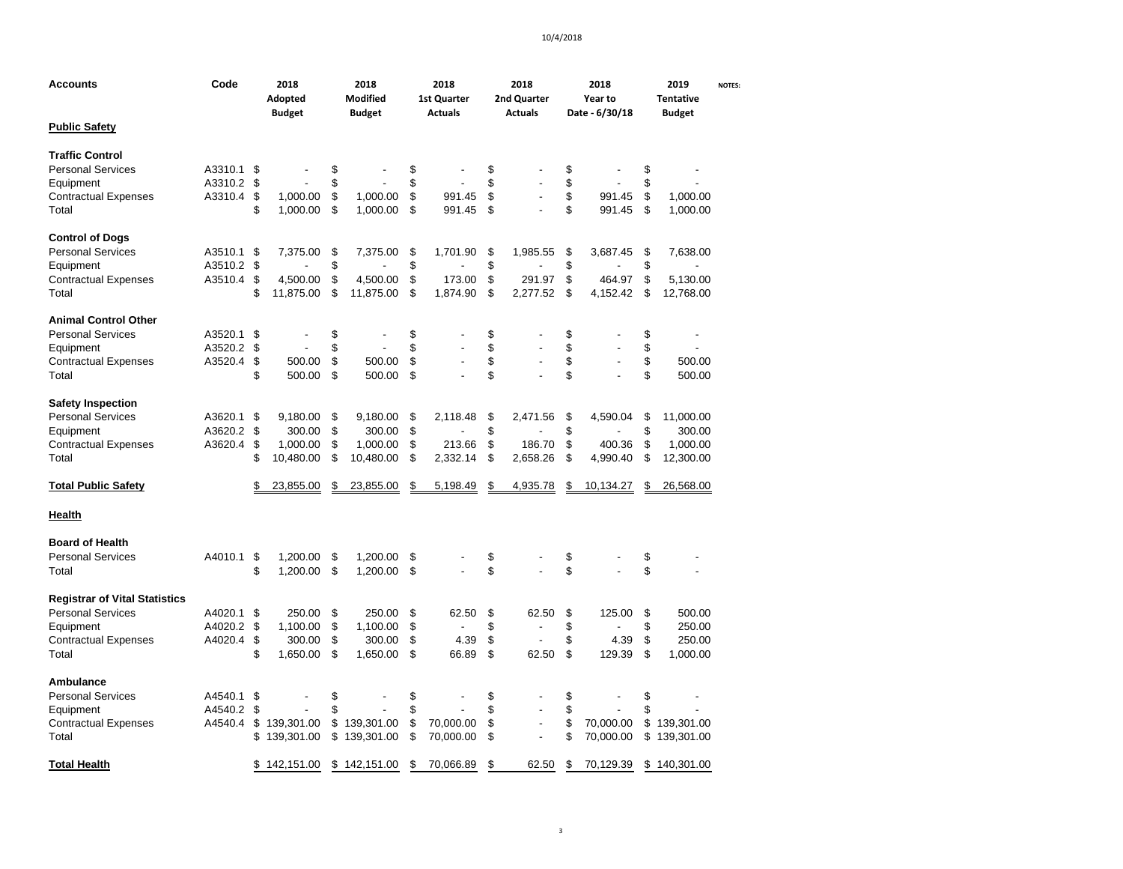| Accounts                             | Code    |     | 2018<br>Adopted<br><b>Budget</b> | 2018<br>Modified<br><b>Budget</b> | 2018<br>1st Quarter<br><b>Actuals</b> | 2018<br>2nd Quarter<br><b>Actuals</b> |                | 2018<br>Year to<br>Date - 6/30/18 | 2019<br><b>Tentative</b><br><b>Budget</b> | <b>NOTES:</b> |
|--------------------------------------|---------|-----|----------------------------------|-----------------------------------|---------------------------------------|---------------------------------------|----------------|-----------------------------------|-------------------------------------------|---------------|
| <b>Public Safety</b>                 |         |     |                                  |                                   |                                       |                                       |                |                                   |                                           |               |
| <b>Traffic Control</b>               |         |     |                                  |                                   |                                       |                                       |                |                                   |                                           |               |
| <b>Personal Services</b>             | A3310.1 | -\$ |                                  | \$                                | \$                                    | \$                                    |                | \$                                | \$                                        |               |
| Equipment                            | A3310.2 | \$  |                                  | \$                                | \$                                    | \$                                    |                | \$                                | \$                                        |               |
| <b>Contractual Expenses</b>          | A3310.4 | \$  | 1,000.00                         | \$<br>1,000.00                    | \$<br>991.45                          | \$                                    |                | \$<br>991.45                      | \$<br>1,000.00                            |               |
| Total                                |         | \$  | 1,000.00                         | \$<br>1,000.00                    | \$<br>991.45                          | \$                                    |                | \$<br>991.45                      | \$<br>1,000.00                            |               |
| <b>Control of Dogs</b>               |         |     |                                  |                                   |                                       |                                       |                |                                   |                                           |               |
| <b>Personal Services</b>             | A3510.1 | \$  | 7,375.00                         | \$<br>7,375.00                    | \$<br>1,701.90                        | \$                                    | 1,985.55       | \$<br>3,687.45                    | \$<br>7,638.00                            |               |
| Equipment                            | A3510.2 | \$  |                                  | \$                                | \$                                    | \$                                    |                | \$                                | \$<br>$\blacksquare$                      |               |
| <b>Contractual Expenses</b>          | A3510.4 | \$  | 4,500.00                         | \$<br>4,500.00                    | \$<br>173.00                          | \$                                    | 291.97         | \$<br>464.97                      | \$<br>5,130.00                            |               |
| Total                                |         | \$  | 11,875.00                        | \$<br>11,875.00                   | \$<br>1,874.90                        | \$                                    | 2,277.52       | \$<br>4,152.42                    | \$<br>12,768.00                           |               |
| <b>Animal Control Other</b>          |         |     |                                  |                                   |                                       |                                       |                |                                   |                                           |               |
| <b>Personal Services</b>             | A3520.1 | \$  |                                  | \$                                | \$                                    | \$                                    |                | \$                                | \$                                        |               |
| Equipment                            | A3520.2 | \$  |                                  | \$                                | \$<br>$\overline{a}$                  | \$                                    |                | \$                                | \$                                        |               |
| <b>Contractual Expenses</b>          | A3520.4 | \$  | 500.00                           | \$<br>500.00                      | \$                                    | \$                                    |                | \$<br>$\overline{a}$              | \$<br>500.00                              |               |
| Total                                |         | \$  | 500.00                           | \$<br>500.00                      | \$                                    | \$                                    |                | \$                                | \$<br>500.00                              |               |
| <b>Safety Inspection</b>             |         |     |                                  |                                   |                                       |                                       |                |                                   |                                           |               |
| <b>Personal Services</b>             | A3620.1 | \$  | 9,180.00                         | \$<br>9,180.00                    | \$<br>2.118.48                        | \$                                    | 2.471.56       | \$<br>4,590.04                    | \$<br>11,000.00                           |               |
| Equipment                            | A3620.2 | \$  | 300.00                           | \$<br>300.00                      | \$                                    | \$                                    |                | \$                                | \$<br>300.00                              |               |
| <b>Contractual Expenses</b>          | A3620.4 | \$  | 1,000.00                         | \$<br>1,000.00                    | \$<br>213.66                          | \$                                    | 186.70         | \$<br>400.36                      | \$<br>1,000.00                            |               |
| Total                                |         | \$  | 10,480.00                        | \$<br>10,480.00                   | \$<br>2,332.14                        | \$                                    | 2,658.26       | \$<br>4,990.40                    | \$<br>12,300.00                           |               |
| <b>Total Public Safety</b>           |         | \$  | 23,855.00                        | \$<br>23,855.00                   | \$<br>5,198.49                        | \$                                    | 4,935.78       | \$<br>10,134.27                   | \$<br>26,568.00                           |               |
| <b>Health</b>                        |         |     |                                  |                                   |                                       |                                       |                |                                   |                                           |               |
| <b>Board of Health</b>               |         |     |                                  |                                   |                                       |                                       |                |                                   |                                           |               |
| <b>Personal Services</b>             | A4010.1 | \$  | 1,200.00                         | \$<br>1,200.00                    | \$                                    | \$                                    |                | \$                                | \$                                        |               |
| Total                                |         | \$  | 1,200.00                         | \$<br>1,200.00                    | \$                                    | \$                                    |                | \$                                | \$                                        |               |
| <b>Registrar of Vital Statistics</b> |         |     |                                  |                                   |                                       |                                       |                |                                   |                                           |               |
| <b>Personal Services</b>             | A4020.1 | \$  | 250.00                           | \$<br>250.00                      | \$<br>62.50                           | \$                                    | 62.50          | \$<br>125.00                      | \$<br>500.00                              |               |
| Equipment                            | A4020.2 | \$  | 1,100.00                         | \$<br>1,100.00                    | \$<br>$\overline{a}$                  | \$                                    |                | \$                                | \$<br>250.00                              |               |
| <b>Contractual Expenses</b>          | A4020.4 | \$  | 300.00                           | \$<br>300.00                      | \$<br>4.39                            | \$                                    | $\overline{a}$ | \$<br>4.39                        | \$<br>250.00                              |               |
| Total                                |         | \$  | 1,650.00                         | \$<br>1,650.00                    | \$<br>66.89                           | \$                                    | 62.50          | \$<br>129.39                      | \$<br>1,000.00                            |               |
| <b>Ambulance</b>                     |         |     |                                  |                                   |                                       |                                       |                |                                   |                                           |               |
| <b>Personal Services</b>             | A4540.1 | \$  |                                  | \$                                | \$                                    | \$                                    |                | \$                                | \$                                        |               |
| Equipment                            | A4540.2 | \$  |                                  | \$                                | \$                                    | \$                                    |                | \$                                | \$                                        |               |
| <b>Contractual Expenses</b>          | A4540.4 | \$  | 139,301.00                       | \$<br>139,301.00                  | \$<br>70,000.00                       | \$                                    | $\overline{a}$ | \$<br>70,000.00                   | \$139,301.00                              |               |
| Total                                |         | \$  | 139,301.00                       | \$<br>139,301.00                  | \$<br>70,000.00                       | \$                                    |                | \$<br>70,000.00                   | \$<br>139,301.00                          |               |
| Total Health                         |         | \$  | 142,151.00                       | \$142,151.00                      | \$<br>70,066.89                       | \$                                    | 62.50          | \$<br>70,129.39                   | \$140,301.00                              |               |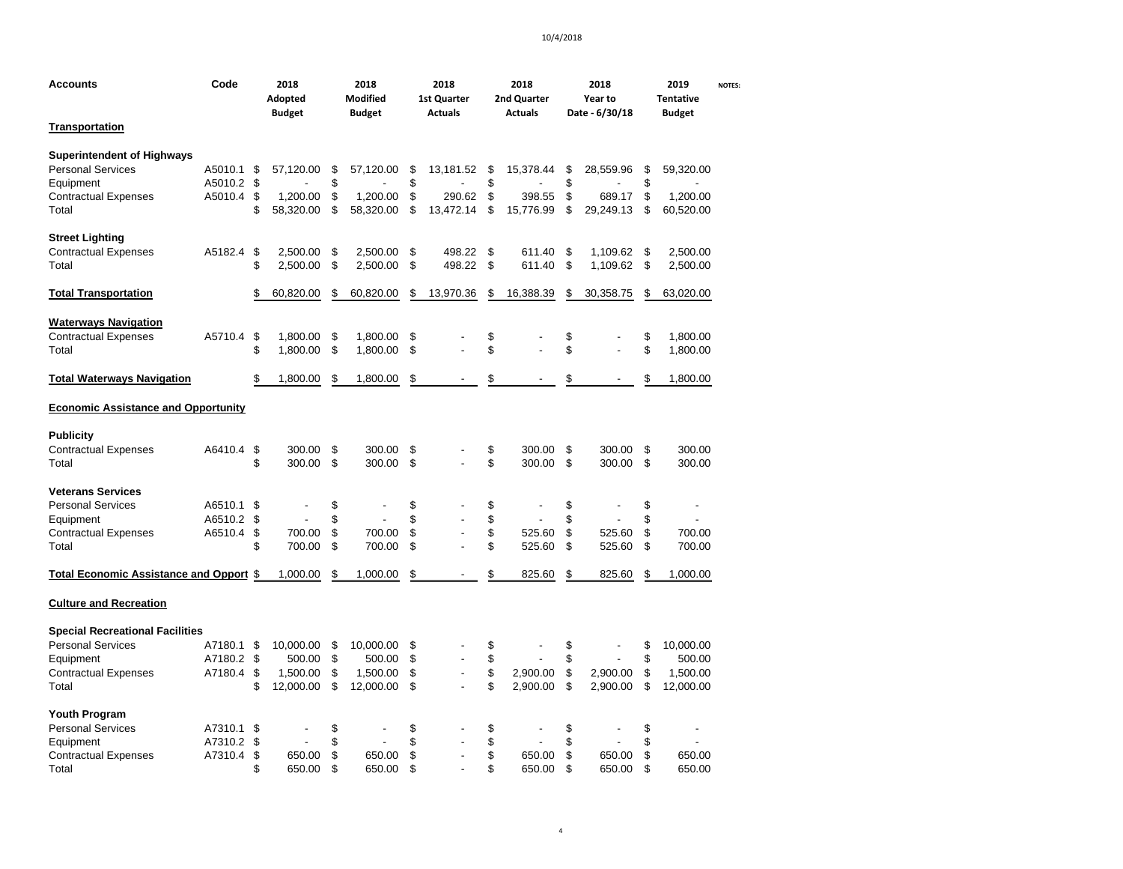| <b>Accounts</b>                                                                                           | Code                             | 2018<br>2018<br>2018<br>2018<br>Modified<br>Adopted<br><b>1st Quarter</b><br><b>Budget</b><br><b>Budget</b><br><b>Actuals</b><br><b>Actuals</b> |                       |                      |                       | 2nd Quarter          |                      | 2018<br>Year to<br>Date - 6/30/18 |                     | 2019<br><b>Tentative</b><br><b>Budget</b> | <b>NOTES:</b>        |                      |                       |  |
|-----------------------------------------------------------------------------------------------------------|----------------------------------|-------------------------------------------------------------------------------------------------------------------------------------------------|-----------------------|----------------------|-----------------------|----------------------|----------------------|-----------------------------------|---------------------|-------------------------------------------|----------------------|----------------------|-----------------------|--|
| <b>Transportation</b>                                                                                     |                                  |                                                                                                                                                 |                       |                      |                       |                      |                      |                                   |                     |                                           |                      |                      |                       |  |
| <b>Superintendent of Highways</b><br><b>Personal Services</b><br>Equipment                                | A5010.1 \$<br>A5010.2 \$         |                                                                                                                                                 | 57,120.00             | \$<br>\$             | 57,120.00             | \$<br>\$             | 13,181.52            | \$<br>\$                          | 15,378.44           | \$<br>\$                                  | 28,559.96            | \$<br>\$             | 59,320.00             |  |
| <b>Contractual Expenses</b><br>Total                                                                      | A5010.4 \$                       | \$                                                                                                                                              | 1,200.00<br>58,320.00 | \$<br>\$             | 1,200.00<br>58,320.00 | \$<br>\$             | 290.62<br>13,472.14  | \$<br>\$                          | 398.55<br>15,776.99 | \$<br>\$                                  | 689.17<br>29,249.13  | \$<br>\$             | 1,200.00<br>60,520.00 |  |
| <b>Street Lighting</b><br><b>Contractual Expenses</b><br>Total                                            | A5182.4                          | -\$<br>\$                                                                                                                                       | 2,500.00<br>2,500.00  | \$<br>\$             | 2,500.00<br>2,500.00  | \$<br>\$             | 498.22<br>498.22     | \$<br>\$                          | 611.40<br>611.40    | \$<br>\$                                  | 1,109.62<br>1,109.62 | \$<br>\$             | 2,500.00<br>2,500.00  |  |
| <b>Total Transportation</b>                                                                               |                                  | \$                                                                                                                                              | 60,820.00             | \$                   | 60,820.00             | \$                   | 13,970.36            | \$                                | 16,388.39           | \$                                        | 30,358.75            | \$                   | 63,020.00             |  |
| <b>Waterways Navigation</b><br><b>Contractual Expenses</b><br>Total                                       | A5710.4 \$                       | \$                                                                                                                                              | 1,800.00<br>1,800.00  | \$<br>\$             | 1,800.00<br>1,800.00  | \$<br>\$             |                      | \$<br>\$                          |                     | \$<br>\$                                  |                      |                      | 1,800.00<br>1,800.00  |  |
| <b>Total Waterways Navigation</b>                                                                         |                                  | \$                                                                                                                                              | 1,800.00              | \$                   | 1,800.00              | \$                   |                      | \$                                |                     | \$                                        |                      | \$                   | 1,800.00              |  |
| <b>Economic Assistance and Opportunity</b>                                                                |                                  |                                                                                                                                                 |                       |                      |                       |                      |                      |                                   |                     |                                           |                      |                      |                       |  |
| <b>Publicity</b><br><b>Contractual Expenses</b><br>Total                                                  | A6410.4 \$                       | \$                                                                                                                                              | 300.00<br>300.00      | \$<br>\$             | 300.00<br>300.00      | \$<br>\$             |                      | \$<br>\$                          | 300.00<br>300.00    | \$<br>\$                                  | 300.00<br>300.00     | \$<br>\$             | 300.00<br>300.00      |  |
| <b>Veterans Services</b><br><b>Personal Services</b><br>Equipment<br><b>Contractual Expenses</b><br>Total | A6510.1<br>A6510.2 \$<br>A6510.4 | - \$<br>\$<br>\$                                                                                                                                | 700.00<br>700.00      | \$<br>\$<br>\$<br>\$ | 700.00<br>700.00      | \$<br>\$<br>\$<br>\$ | ÷,<br>$\overline{a}$ | \$<br>\$<br>\$<br>\$              | 525.60<br>525.60    | \$<br>\$<br>\$<br>\$                      | 525.60<br>525.60     | \$<br>\$<br>\$<br>\$ | 700.00<br>700.00      |  |
| Total Economic Assistance and Opport \$                                                                   |                                  |                                                                                                                                                 | 1,000.00              | \$                   | 1,000.00              | \$                   |                      | \$                                | 825.60              | \$                                        | 825.60               | \$                   | 1,000.00              |  |
| <b>Culture and Recreation</b>                                                                             |                                  |                                                                                                                                                 |                       |                      |                       |                      |                      |                                   |                     |                                           |                      |                      |                       |  |
| <b>Special Recreational Facilities</b>                                                                    |                                  |                                                                                                                                                 |                       |                      |                       |                      |                      |                                   |                     |                                           |                      |                      |                       |  |
| <b>Personal Services</b>                                                                                  | A7180.1 \$<br>A7180.2 \$         |                                                                                                                                                 | 10,000.00             | \$<br>\$             | 10,000.00             | \$<br>\$             | $\overline{a}$       | \$                                |                     | \$                                        |                      | \$<br>\$             | 10,000.00             |  |
| Equipment                                                                                                 | A7180.4 \$                       |                                                                                                                                                 | 500.00                | \$                   | 500.00<br>1,500.00    | \$                   | L.                   | \$<br>\$                          | 2,900.00            | \$<br>\$                                  | 2,900.00             | \$                   | 500.00<br>1,500.00    |  |
| <b>Contractual Expenses</b><br>Total                                                                      |                                  | \$                                                                                                                                              | 1,500.00<br>12,000.00 | \$                   | 12,000.00             | \$                   |                      | \$                                | 2,900.00            | \$                                        | 2,900.00             | \$                   | 12,000.00             |  |
| <b>Youth Program</b>                                                                                      |                                  |                                                                                                                                                 |                       |                      |                       |                      |                      |                                   |                     |                                           |                      |                      |                       |  |
| <b>Personal Services</b>                                                                                  | A7310.1                          | \$                                                                                                                                              |                       | \$                   |                       | \$                   |                      | \$                                |                     | \$                                        |                      | \$                   |                       |  |
| Equipment                                                                                                 | A7310.2<br>A7310.4               | \$<br>\$                                                                                                                                        | 650.00                | \$<br>\$             | 650.00                | \$<br>\$             | ÷,                   | \$<br>\$                          | 650.00              | \$<br>\$                                  | 650.00               | \$<br>\$             | 650.00                |  |
| <b>Contractual Expenses</b><br>Total                                                                      |                                  | \$                                                                                                                                              | 650.00                | \$                   | 650.00                | \$                   |                      | \$                                | 650.00              | \$                                        | 650.00               | \$                   | 650.00                |  |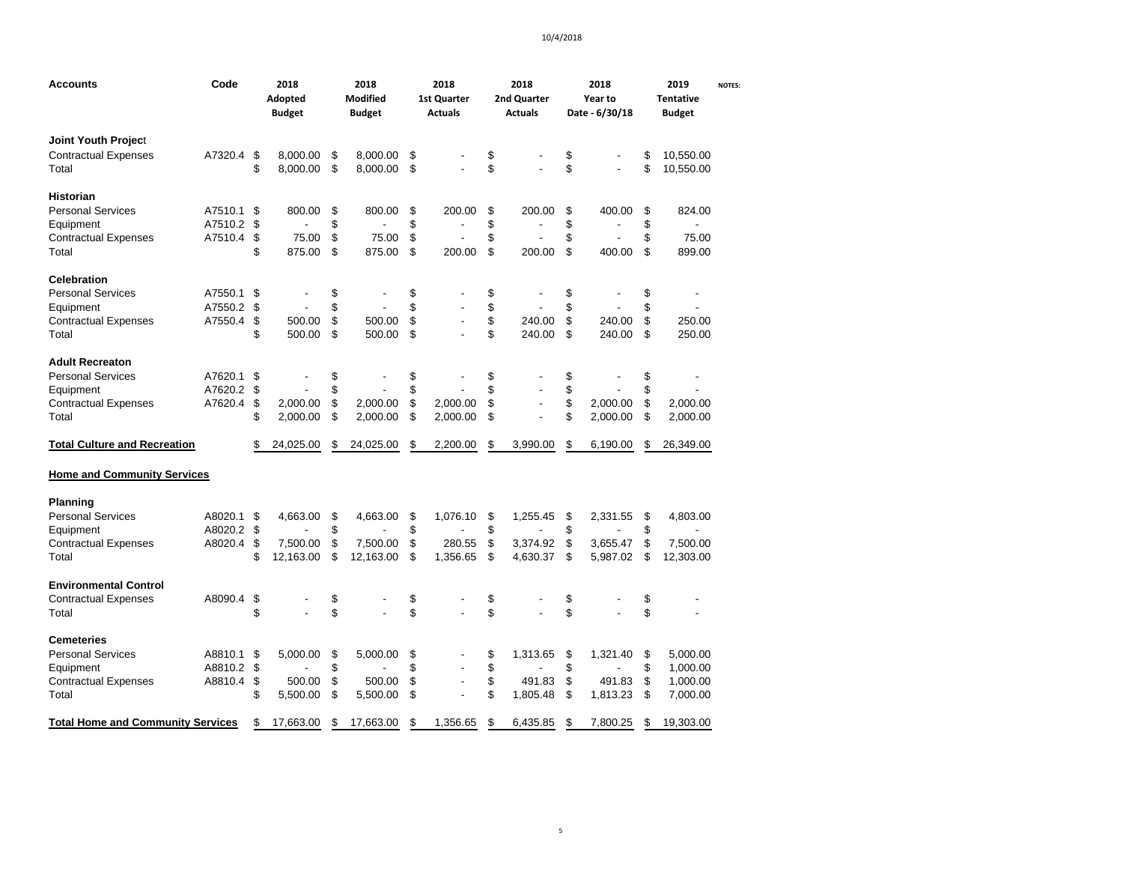| Accounts                                 | Code    | 2018<br>Adopted<br><b>Budget</b> | 2018<br><b>Modified</b><br><b>Budget</b> | 2018<br><b>1st Quarter</b><br><b>Actuals</b> | 2018<br>2nd Quarter<br><b>Actuals</b> | 2018<br>Year to<br>Date - 6/30/18 | 2019<br><b>Tentative</b><br><b>Budget</b> | <b>NOTES:</b> |
|------------------------------------------|---------|----------------------------------|------------------------------------------|----------------------------------------------|---------------------------------------|-----------------------------------|-------------------------------------------|---------------|
| Joint Youth Project                      |         |                                  |                                          |                                              |                                       |                                   |                                           |               |
| <b>Contractual Expenses</b>              | A7320.4 | \$<br>8,000.00                   | \$<br>8,000.00                           | \$                                           | \$                                    | \$                                | \$<br>10,550.00                           |               |
| Total                                    |         | \$<br>8,000.00                   | \$<br>8,000.00                           | \$<br>÷,                                     | \$                                    | \$                                | \$<br>10,550.00                           |               |
| Historian                                |         |                                  |                                          |                                              |                                       |                                   |                                           |               |
| Personal Services                        | A7510.1 | \$<br>800.00                     | \$<br>800.00                             | \$<br>200.00                                 | \$<br>200.00                          | \$<br>400.00                      | \$<br>824.00                              |               |
| Equipment                                | A7510.2 | \$                               | \$                                       | \$                                           | \$                                    | \$                                | \$                                        |               |
| <b>Contractual Expenses</b>              | A7510.4 | \$<br>75.00                      | \$<br>75.00                              | \$                                           | \$                                    | \$                                | \$<br>75.00                               |               |
| Total                                    |         | \$<br>875.00                     | \$<br>875.00                             | \$<br>200.00                                 | \$<br>200.00                          | \$<br>400.00                      | \$<br>899.00                              |               |
| <b>Celebration</b>                       |         |                                  |                                          |                                              |                                       |                                   |                                           |               |
| <b>Personal Services</b>                 | A7550.1 | \$                               | \$                                       | \$                                           | \$                                    | \$                                | \$                                        |               |
| Equipment                                | A7550.2 | \$                               | \$                                       | \$                                           | \$                                    | \$                                | \$                                        |               |
| <b>Contractual Expenses</b>              | A7550.4 | \$<br>500.00                     | \$<br>500.00                             | \$<br>$\blacksquare$                         | \$<br>240.00                          | \$<br>240.00                      | \$<br>250.00                              |               |
| Total                                    |         | \$<br>500.00                     | \$<br>500.00                             | \$<br>$\overline{a}$                         | \$<br>240.00                          | \$<br>240.00                      | \$<br>250.00                              |               |
| <b>Adult Recreaton</b>                   |         |                                  |                                          |                                              |                                       |                                   |                                           |               |
| <b>Personal Services</b>                 | A7620.1 | \$                               | \$                                       | \$                                           | \$                                    | \$                                | \$                                        |               |
| Equipment                                | A7620.2 | \$                               | \$                                       | \$                                           | \$                                    | \$                                | \$                                        |               |
| <b>Contractual Expenses</b>              | A7620.4 | \$<br>2,000.00                   | \$<br>2,000.00                           | \$<br>2,000.00                               | \$<br>$\overline{a}$                  | \$<br>2,000.00                    | \$<br>2,000.00                            |               |
| Total                                    |         | \$<br>2,000.00                   | \$<br>2,000.00                           | \$<br>2,000.00                               | \$                                    | \$<br>2,000.00                    | \$<br>2,000.00                            |               |
| <b>Total Culture and Recreation</b>      |         | \$<br>24,025.00                  | \$<br>24,025.00                          | \$<br>2,200.00                               | \$<br>3,990.00                        | \$<br>6,190.00                    | \$<br>26,349.00                           |               |
| <b>Home and Community Services</b>       |         |                                  |                                          |                                              |                                       |                                   |                                           |               |
| <b>Planning</b>                          |         |                                  |                                          |                                              |                                       |                                   |                                           |               |
| <b>Personal Services</b>                 | A8020.1 | \$<br>4.663.00                   | \$<br>4,663.00                           | \$<br>1,076.10                               | \$<br>1,255.45                        | \$<br>2.331.55                    | \$<br>4,803.00                            |               |
| Equipment                                | A8020.2 | \$                               | \$                                       | \$                                           | \$                                    | \$                                | \$                                        |               |
| <b>Contractual Expenses</b>              | A8020.4 | \$<br>7,500.00                   | \$<br>7,500.00                           | \$<br>280.55                                 | \$<br>3,374.92                        | \$<br>3,655.47                    | \$<br>7,500.00                            |               |
| Total                                    |         | \$<br>12,163.00                  | \$<br>12,163.00                          | \$<br>1,356.65                               | \$<br>4,630.37                        | \$<br>5,987.02                    | \$<br>12,303.00                           |               |
| <b>Environmental Control</b>             |         |                                  |                                          |                                              |                                       |                                   |                                           |               |
| Contractual Expenses                     | A8090.4 | \$                               | \$                                       | \$                                           | \$                                    | \$                                | \$                                        |               |
| Total                                    |         | \$                               | \$                                       | \$                                           | \$                                    | \$                                | \$                                        |               |
| Cemeteries                               |         |                                  |                                          |                                              |                                       |                                   |                                           |               |
| <b>Personal Services</b>                 | A8810.1 | \$<br>5,000.00                   | \$<br>5,000.00                           | \$                                           | \$<br>1,313.65                        | \$<br>1,321.40                    | \$<br>5,000.00                            |               |
| Equipment                                | A8810.2 | \$                               | \$                                       | \$<br>$\overline{a}$                         | \$                                    | \$                                | \$<br>1,000.00                            |               |
| <b>Contractual Expenses</b>              | A8810.4 | \$<br>500.00                     | \$<br>500.00                             | \$                                           | \$<br>491.83                          | \$<br>491.83                      | \$<br>1,000.00                            |               |
| Total                                    |         | \$<br>5,500.00                   | \$<br>5,500.00                           | \$                                           | \$<br>1,805.48                        | \$<br>1,813.23                    | \$<br>7,000.00                            |               |
| <b>Total Home and Community Services</b> |         | \$<br>17,663.00                  | \$<br>17,663.00                          | \$<br>1,356.65                               | \$<br>6,435.85                        | \$<br>7,800.25                    | \$<br>19,303.00                           |               |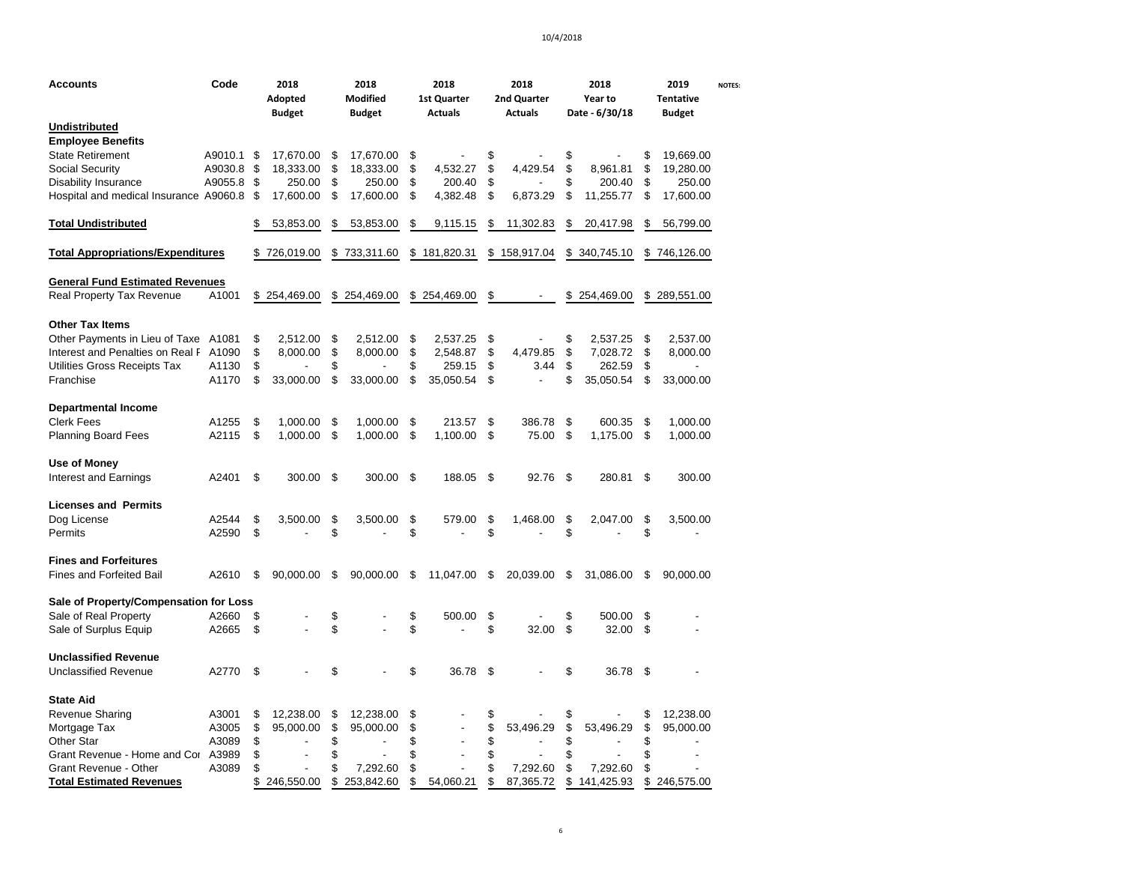| Accounts                                 | Code    |    | 2018<br>Adopted<br><b>Budget</b> |    | 2018<br><b>Modified</b><br><b>Budget</b> |    | 2018<br>1st Quarter<br><b>Actuals</b> | 2018<br>2nd Quarter<br><b>Actuals</b> |    | 2018<br><b>Year to</b><br>Date - 6/30/18 |     | 2019<br><b>Tentative</b><br><b>Budget</b> | <b>NOTES:</b> |
|------------------------------------------|---------|----|----------------------------------|----|------------------------------------------|----|---------------------------------------|---------------------------------------|----|------------------------------------------|-----|-------------------------------------------|---------------|
| Undistributed                            |         |    |                                  |    |                                          |    |                                       |                                       |    |                                          |     |                                           |               |
| <b>Employee Benefits</b>                 |         |    |                                  |    |                                          |    |                                       |                                       |    |                                          |     |                                           |               |
| <b>State Retirement</b>                  | A9010.1 | \$ | 17,670.00                        | \$ | 17,670.00                                | S  |                                       | \$                                    | \$ |                                          | \$  | 19,669.00                                 |               |
| Social Security                          | A9030.8 | \$ | 18,333.00                        | \$ | 18,333.00                                | \$ | 4,532.27                              | \$<br>4,429.54                        | \$ | 8,961.81                                 | \$  | 19,280.00                                 |               |
| Disability Insurance                     | A9055.8 | \$ | 250.00                           | S  | 250.00                                   | S  | 200.40                                | \$                                    | S  | 200.40                                   | S   | 250.00                                    |               |
| Hospital and medical Insurance A9060.8   |         | \$ | 17,600.00                        | \$ | 17,600.00                                | \$ | 4,382.48                              | \$<br>6,873.29                        | \$ | 11,255.77                                | \$  | 17,600.00                                 |               |
| <b>Total Undistributed</b>               |         |    | 53,853.00                        | \$ | 53,853.00                                | \$ | 9,115.15                              | \$<br>11,302.83                       | \$ | 20,417.98                                | \$  | 56,799.00                                 |               |
| <b>Total Appropriations/Expenditures</b> |         |    | 726,019.00                       | \$ | 733,311.60                               | \$ | 181,820.31                            | \$<br>158,917.04                      |    | \$ 340,745.10                            |     | \$746,126.00                              |               |
| General Fund Estimated Revenues          |         |    |                                  |    |                                          |    |                                       |                                       |    |                                          |     |                                           |               |
| Real Property Tax Revenue                | A1001   |    | \$254,469.00                     |    | \$254,469.00                             |    | \$254,469.00                          | \$                                    |    | \$254,469.00                             |     | \$289,551.00                              |               |
| <b>Other Tax Items</b>                   |         |    |                                  |    |                                          |    |                                       |                                       |    |                                          |     |                                           |               |
| Other Payments in Lieu of Taxe A1081     |         | \$ | 2,512.00                         | \$ | 2,512.00                                 | \$ | 2,537.25                              | \$                                    | \$ | 2,537.25                                 | \$  | 2,537.00                                  |               |
| Interest and Penalties on Real F A1090   |         | \$ | 8,000.00                         | \$ | 8,000.00                                 | \$ | 2,548.87                              | \$<br>4,479.85                        | \$ | 7,028.72                                 | \$  | 8,000.00                                  |               |
| Utilities Gross Receipts Tax             | A1130   | \$ |                                  | \$ |                                          | S  | 259.15                                | \$<br>3.44                            | \$ | 262.59                                   | \$  | ٠                                         |               |
| Franchise                                | A1170   | \$ | 33,000.00                        | \$ | 33,000.00                                | \$ | 35,050.54                             | \$                                    | \$ | 35,050.54                                | \$  | 33,000.00                                 |               |
| <b>Departmental Income</b>               |         |    |                                  |    |                                          |    |                                       |                                       |    |                                          |     |                                           |               |
| Clerk Fees                               | A1255   | \$ | 1,000.00                         | \$ | 1,000.00                                 | \$ | 213.57                                | \$<br>386.78                          | \$ | 600.35                                   | \$  | 1,000.00                                  |               |
| Planning Board Fees                      | A2115   | \$ | 1,000.00                         | \$ | 1,000.00                                 | \$ | 1,100.00                              | \$<br>75.00                           | \$ | 1,175.00                                 | \$  | 1,000.00                                  |               |
| Use of Money                             |         |    |                                  |    |                                          |    |                                       |                                       |    |                                          |     |                                           |               |
| Interest and Earnings                    | A2401   | \$ | 300.00                           | \$ | 300.00                                   | \$ | 188.05                                | \$<br>92.76                           | \$ | 280.81                                   | \$  | 300.00                                    |               |
| Licenses and Permits                     |         |    |                                  |    |                                          |    |                                       |                                       |    |                                          |     |                                           |               |
| Dog License                              | A2544   | \$ | 3,500.00                         | \$ | 3,500.00                                 | \$ | 579.00                                | \$<br>1,468.00                        | \$ | 2,047.00                                 | \$  | 3,500.00                                  |               |
| Permits                                  | A2590   | \$ |                                  | \$ |                                          | \$ |                                       | \$                                    | \$ |                                          | \$  |                                           |               |
| <b>Fines and Forfeitures</b>             |         |    |                                  |    |                                          |    |                                       |                                       |    |                                          |     |                                           |               |
| Fines and Forfeited Bail                 | A2610   | S  | 90,000.00                        | \$ | 90,000.00                                | \$ | 11,047.00                             | \$<br>20,039.00                       | \$ | 31,086.00                                | S   | 90,000.00                                 |               |
| Sale of Property/Compensation for Loss   |         |    |                                  |    |                                          |    |                                       |                                       |    |                                          |     |                                           |               |
| Sale of Real Property                    | A2660   | \$ |                                  | \$ |                                          | \$ | 500.00                                | \$                                    | \$ | 500.00                                   | S   |                                           |               |
| Sale of Surplus Equip                    | A2665   | \$ |                                  | \$ |                                          | \$ |                                       | \$<br>32.00                           | \$ | 32.00                                    | \$  |                                           |               |
| <b>Unclassified Revenue</b>              |         |    |                                  |    |                                          |    |                                       |                                       |    |                                          |     |                                           |               |
| Unclassified Revenue                     | A2770   | \$ |                                  | \$ |                                          | \$ | 36.78                                 | \$                                    | \$ | 36.78                                    | -\$ |                                           |               |
| <b>State Aid</b>                         |         |    |                                  |    |                                          |    |                                       |                                       |    |                                          |     |                                           |               |
| Revenue Sharing                          | A3001   | \$ | 12,238.00                        | \$ | 12,238.00                                | \$ |                                       |                                       |    |                                          | \$  | 12,238.00                                 |               |
| Mortgage Tax                             | A3005   | \$ | 95,000.00                        | \$ | 95,000.00                                | \$ |                                       | \$<br>53,496.29                       | \$ | 53,496.29                                | \$  | 95,000.00                                 |               |
| Other Star                               | A3089   | \$ |                                  | \$ |                                          | \$ |                                       | \$                                    | \$ |                                          | \$  |                                           |               |
| Grant Revenue - Home and Cor A3989       |         | \$ |                                  |    |                                          | \$ |                                       | \$                                    | \$ |                                          | \$  |                                           |               |
| Grant Revenue - Other                    | A3089   | S  |                                  | \$ | 7,292.60                                 | \$ |                                       | \$<br>7,292.60                        | \$ | 7,292.60                                 | \$  |                                           |               |
| <b>Total Estimated Revenues</b>          |         | \$ | 246,550.00                       | \$ | 253,842.60                               | \$ | 54,060.21                             | \$<br>87,365.72                       | \$ | 141,425.93                               | \$  | 246,575.00                                |               |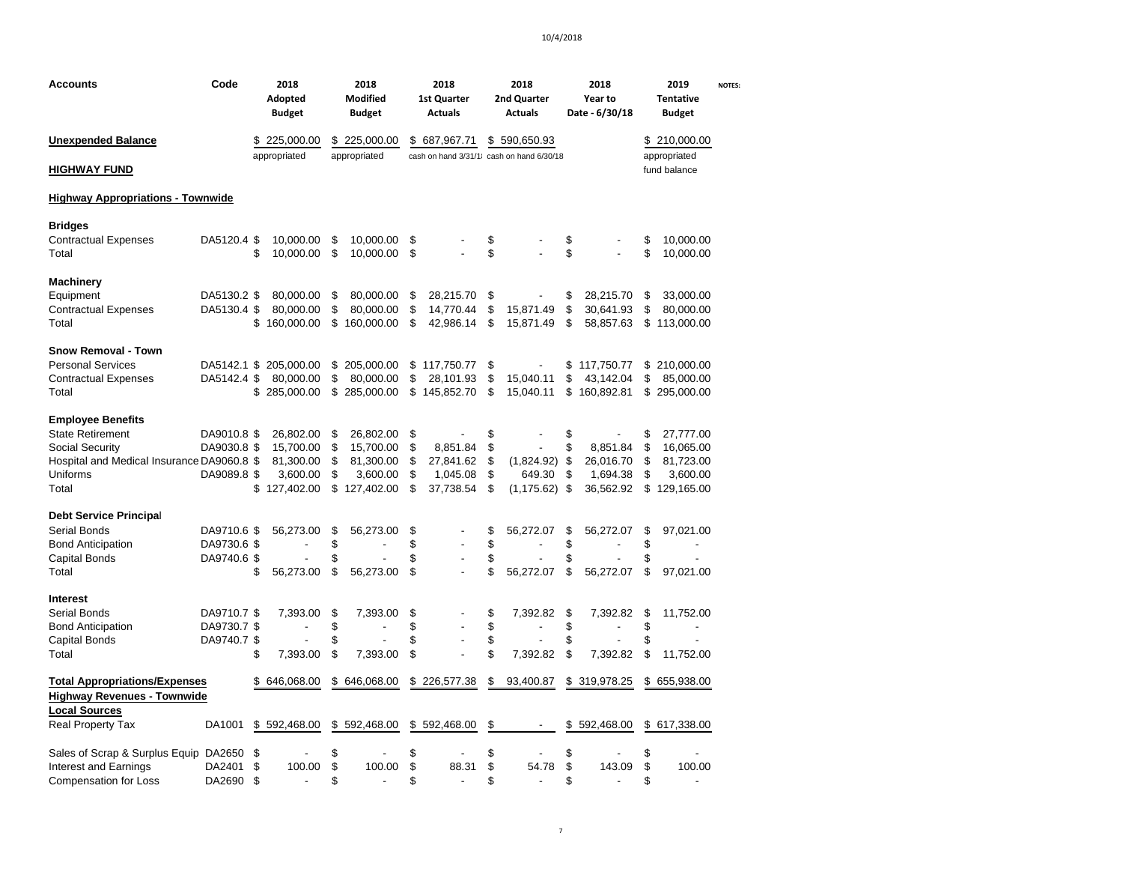| Accounts                                   | Code        | 2018<br>Adopted<br><b>Budget</b> | 2018<br><b>Modified</b><br><b>Budget</b> |    | 2018<br>1st Quarter<br><b>Actuals</b>    | 2018<br>2nd Quarter<br><b>Actuals</b> | 2018<br>Year to<br>Date - 6/30/18 | 2019<br><b>Tentative</b><br><b>Budget</b> | <b>NOTES:</b> |
|--------------------------------------------|-------------|----------------------------------|------------------------------------------|----|------------------------------------------|---------------------------------------|-----------------------------------|-------------------------------------------|---------------|
| <b>Unexpended Balance</b>                  |             | \$<br>225,000.00                 | \$225,000.00                             | \$ | 687,967.71                               | \$<br>590,650.93                      |                                   | \$210,000.00                              |               |
|                                            |             | appropriated                     | appropriated                             |    | cash on hand 3/31/1 cash on hand 6/30/18 |                                       |                                   | appropriated                              |               |
| <u>HIGHWAY FUND</u>                        |             |                                  |                                          |    |                                          |                                       |                                   | fund balance                              |               |
| <b>Highway Appropriations - Townwide</b>   |             |                                  |                                          |    |                                          |                                       |                                   |                                           |               |
| <b>Bridges</b>                             |             |                                  |                                          |    |                                          |                                       |                                   |                                           |               |
| <b>Contractual Expenses</b>                | DA5120.4 \$ | 10,000.00                        | \$<br>10,000.00                          | \$ |                                          | \$                                    | \$                                | \$<br>10,000.00                           |               |
| Total                                      |             | \$<br>10,000.00                  | \$<br>10,000.00                          | \$ |                                          | \$                                    | \$                                | \$<br>10,000.00                           |               |
| Machinery                                  |             |                                  |                                          |    |                                          |                                       |                                   |                                           |               |
| Equipment                                  | DA5130.2 \$ | 80,000.00                        | \$<br>80,000.00                          | S  | 28,215.70                                | \$                                    | \$<br>28,215.70                   | \$<br>33,000.00                           |               |
| <b>Contractual Expenses</b>                | DA5130.4 \$ | 80,000.00                        | \$<br>80,000.00                          | \$ | 14,770.44                                | \$<br>15,871.49                       | \$<br>30,641.93                   | \$<br>80,000.00                           |               |
| Total                                      |             | \$160,000.00                     | \$<br>160,000.00                         | \$ | 42,986.14                                | \$<br>15,871.49                       | \$<br>58,857.63                   | \$<br>113,000.00                          |               |
| <b>Snow Removal - Town</b>                 |             |                                  |                                          |    |                                          |                                       |                                   |                                           |               |
| <b>Personal Services</b>                   | DA5142.1    | \$<br>205,000.00                 | \$ 205,000.00                            | \$ | 117,750.77                               | \$                                    | \$117,750.77                      | \$210,000.00                              |               |
| <b>Contractual Expenses</b>                | DA5142.4 \$ | 80,000.00                        | \$<br>80,000.00                          | \$ | 28.101.93                                | \$<br>15,040.11                       | \$<br>43.142.04                   | \$<br>85,000.00                           |               |
| Total                                      |             | \$<br>285,000.00                 | \$<br>285,000.00                         | \$ | 145,852.70                               | \$<br>15,040.11                       | \$160,892.81                      | \$295,000.00                              |               |
| <b>Employee Benefits</b>                   |             |                                  |                                          |    |                                          |                                       |                                   |                                           |               |
| <b>State Retirement</b>                    | DA9010.8 \$ | 26,802.00                        | \$<br>26,802.00                          | \$ |                                          | \$                                    | \$                                | \$<br>27,777.00                           |               |
| Social Security                            | DA9030.8 \$ | 15,700.00                        | \$<br>15,700.00                          | \$ | 8,851.84                                 | \$                                    | \$<br>8,851.84                    | \$<br>16,065.00                           |               |
| Hospital and Medical Insurance DA9060.8 \$ |             | 81,300.00                        | \$<br>81,300.00                          | \$ | 27,841.62                                | \$<br>(1,824.92)                      | \$<br>26,016.70                   | \$<br>81,723.00                           |               |
| Uniforms                                   | DA9089.8 \$ | 3,600.00                         | \$<br>3,600.00                           | \$ | 1,045.08                                 | \$<br>649.30                          | \$<br>1,694.38                    | \$<br>3,600.00                            |               |
| Total                                      |             | \$127,402.00                     | \$127,402.00                             | \$ | 37,738.54                                | \$<br>(1, 175.62)                     | \$<br>36,562.92                   | \$<br>129,165.00                          |               |
| <b>Debt Service Principal</b>              |             |                                  |                                          |    |                                          |                                       |                                   |                                           |               |
| Serial Bonds                               | DA9710.6 \$ | 56,273.00                        | \$<br>56,273.00                          | \$ |                                          | \$<br>56,272.07                       | \$<br>56,272.07                   | \$<br>97,021.00                           |               |
| <b>Bond Anticipation</b>                   | DA9730.6 \$ |                                  | \$                                       | \$ |                                          | \$                                    | \$                                | \$                                        |               |
| Capital Bonds                              | DA9740.6 \$ |                                  | \$                                       | \$ |                                          | \$                                    | \$                                | \$                                        |               |
| Total                                      |             | \$<br>56,273.00                  | \$<br>56,273.00                          | \$ |                                          | \$<br>56,272.07                       | \$<br>56,272.07                   | \$<br>97,021.00                           |               |
| Interest                                   |             |                                  |                                          |    |                                          |                                       |                                   |                                           |               |
| Serial Bonds                               | DA9710.7 \$ | 7,393.00                         | \$<br>7,393.00                           | \$ |                                          | \$<br>7,392.82                        | \$<br>7,392.82                    | \$<br>11,752.00                           |               |
| <b>Bond Anticipation</b>                   | DA9730.7 \$ | $\overline{a}$                   | \$                                       | \$ | L.                                       | \$                                    | \$                                | \$<br>$\overline{\phantom{a}}$            |               |
| Capital Bonds                              | DA9740.7 \$ |                                  | \$                                       | \$ | $\overline{\phantom{a}}$                 | \$                                    | \$                                | \$                                        |               |
| Total                                      |             | \$<br>7,393.00                   | \$<br>7,393.00                           | \$ |                                          | \$<br>7,392.82                        | \$<br>7,392.82                    | \$<br>11,752.00                           |               |
| <b>Total Appropriations/Expenses</b>       |             | \$<br>646,068.00                 | \$<br>646,068.00                         | \$ | 226,577.38                               | \$<br>93,400.87                       | \$319,978.25                      | \$<br>655,938.00                          |               |
| <b>Highway Revenues - Townwide</b>         |             |                                  |                                          |    |                                          |                                       |                                   |                                           |               |
| <b>Local Sources</b>                       |             |                                  |                                          |    |                                          |                                       |                                   |                                           |               |
| Real Property Tax                          | DA1001      | \$592,468.00                     | \$592,468.00                             |    | \$592,468.00                             | \$                                    | \$<br>592,468.00                  | \$617,338.00                              |               |
| Sales of Scrap & Surplus Equip DA2650      |             | \$                               | \$                                       | \$ |                                          | \$                                    | \$                                | \$                                        |               |
| <b>Interest and Earnings</b>               | DA2401      | \$<br>100.00                     | \$<br>100.00                             | \$ | 88.31                                    | \$<br>54.78                           | \$<br>143.09                      | \$<br>100.00                              |               |
| <b>Compensation for Loss</b>               | DA2690      | \$<br>$\overline{a}$             | \$                                       | \$ |                                          | \$<br>$\blacksquare$                  | \$                                | \$<br>٠                                   |               |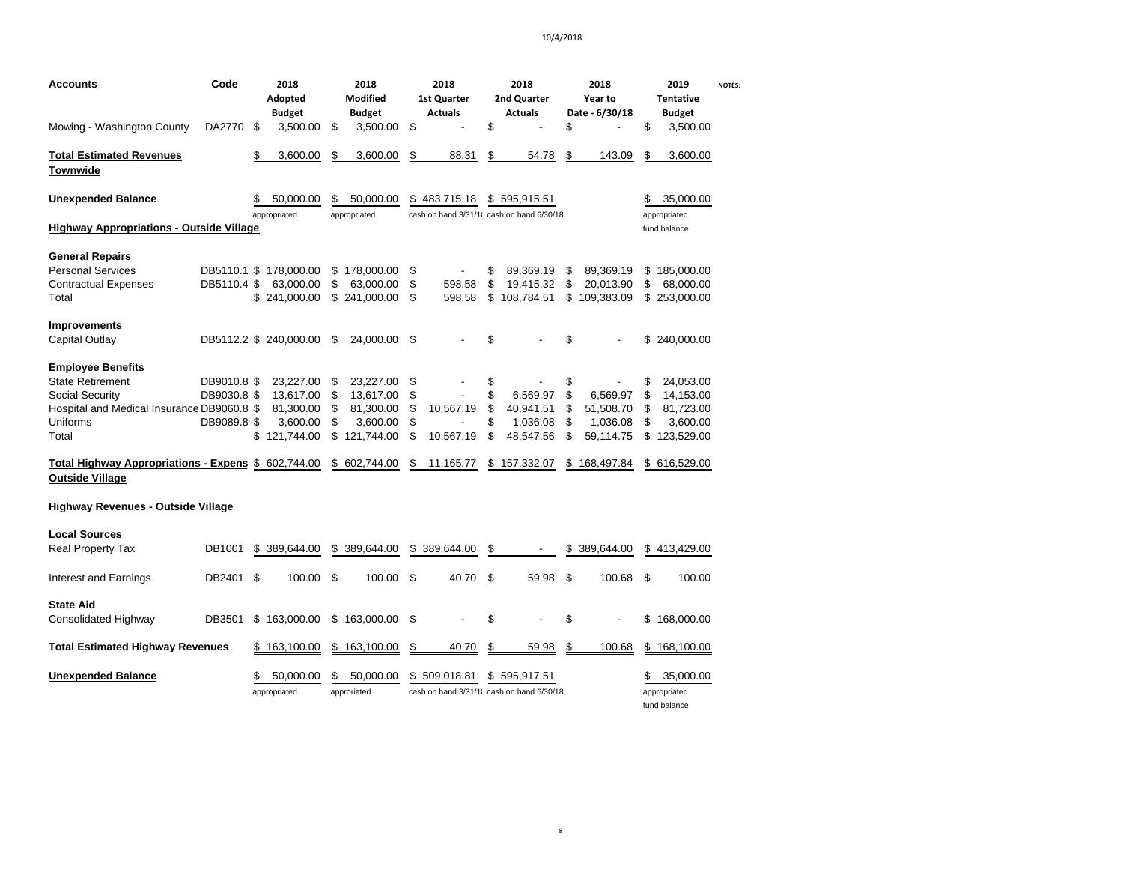| Accounts<br>Mowing - Washington County                                        | Code<br>DA2770 \$ | 2018<br>Adopted<br><b>Budget</b><br>3,500.00        | \$       | 2018<br>Modified<br><b>Budget</b><br>3,500.00 | \$             | 2018<br>1st Quarter<br><b>Actuals</b>                  | \$             | 2018<br>2nd Quarter<br><b>Actuals</b> | \$       | 2018<br>Year to<br>Date - 6/30/18      | \$       | 2019<br><b>Tentative</b><br><b>Budget</b><br>3,500.00 | <b>NOTES:</b> |
|-------------------------------------------------------------------------------|-------------------|-----------------------------------------------------|----------|-----------------------------------------------|----------------|--------------------------------------------------------|----------------|---------------------------------------|----------|----------------------------------------|----------|-------------------------------------------------------|---------------|
| <b>Total Estimated Revenues</b><br>Townwide                                   |                   | \$<br>3,600.00                                      | \$       | 3,600.00                                      | \$             | 88.31                                                  | \$             | 54.78                                 | \$       | 143.09                                 | \$       | 3,600.00                                              |               |
| <b>Unexpended Balance</b>                                                     |                   | \$<br>50,000.00                                     | \$       | 50,000.00                                     |                | \$483,715.18                                           | \$             | 595,915.51                            |          |                                        | S        | 35,000.00                                             |               |
| <b>Highway Appropriations - Outside Village</b>                               |                   | appropriated                                        |          | appropriated                                  |                | cash on hand 3/31/1 cash on hand 6/30/18               |                |                                       |          |                                        |          | appropriated<br>fund balance                          |               |
| <b>General Repairs</b>                                                        |                   |                                                     |          |                                               |                |                                                        |                |                                       |          |                                        |          |                                                       |               |
| <b>Personal Services</b><br><b>Contractual Expenses</b><br>Total              | DB5110.4 \$       | DB5110.1 \$ 178,000.00<br>63,000.00<br>\$241,000.00 | \$<br>\$ | 178,000.00<br>63,000.00<br>\$241,000.00       | \$<br>\$<br>\$ | 598.58<br>598.58                                       | \$<br>\$<br>\$ | 89,369.19<br>19,415.32<br>108,784.51  | \$<br>\$ | 89,369.19<br>20,013.90<br>\$109,383.09 | \$<br>\$ | 185,000.00<br>68,000.00<br>\$253,000.00               |               |
| Improvements<br>Capital Outlay                                                |                   | DB5112.2 \$ 240,000.00                              | \$       | 24,000.00                                     | \$             |                                                        | \$             |                                       | \$       |                                        |          | \$240,000.00                                          |               |
| <b>Employee Benefits</b><br><b>State Retirement</b>                           | DB9010.8 \$       | 23,227.00                                           | \$       | 23,227.00                                     | \$             |                                                        | \$             |                                       | \$       |                                        | \$       | 24,053.00                                             |               |
| Social Security<br>Hospital and Medical Insurance DB9060.8 \$                 | DB9030.8 \$       | 13,617.00<br>81,300.00                              | \$<br>\$ | 13,617.00<br>81,300.00                        | \$<br>\$       | 10,567.19                                              | \$<br>\$       | 6,569.97<br>40,941.51                 | \$<br>\$ | 6,569.97<br>51,508.70                  | \$<br>\$ | 14,153.00<br>81,723.00                                |               |
| Uniforms<br>Total                                                             | DB9089.8 \$       | 3,600.00<br>\$121,744.00                            | \$<br>\$ | 3,600.00<br>121,744.00                        | \$<br>\$       | 10,567.19                                              | \$<br>\$       | 1,036.08<br>48,547.56                 | \$<br>\$ | 1,036.08<br>59,114.75                  | \$<br>\$ | 3,600.00<br>123,529.00                                |               |
| Total Highway Appropriations - Expens \$ 602,744.00<br><b>Outside Village</b> |                   |                                                     |          | \$602,744.00                                  | S              | 11,165.77                                              | \$             | 157,332.07                            |          | \$168,497.84                           |          | \$ 616,529.00                                         |               |
| Highway Revenues - Outside Village                                            |                   |                                                     |          |                                               |                |                                                        |                |                                       |          |                                        |          |                                                       |               |
| <b>Local Sources</b><br><b>Real Property Tax</b>                              | DB1001            | \$ 389,644.00                                       |          | \$ 389,644.00                                 | \$             | 389,644.00                                             | \$             |                                       | \$       | 389,644.00                             |          | \$413,429.00                                          |               |
| Interest and Earnings                                                         | DB2401            | \$<br>100.00                                        | \$       | 100.00                                        | \$             | 40.70                                                  | \$             | 59.98                                 | \$       | 100.68                                 | \$       | 100.00                                                |               |
| <b>State Aid</b><br><b>Consolidated Highway</b>                               | DB3501            | \$163,000.00                                        | \$       | 163,000.00                                    | \$             |                                                        | \$             |                                       | \$       |                                        | \$       | 168,000.00                                            |               |
| <b>Total Estimated Highway Revenues</b>                                       |                   | \$163,100.00                                        |          | \$163,100.00                                  | \$             | 40.70                                                  | \$             | 59.98                                 | \$       | 100.68                                 |          | \$168,100.00                                          |               |
| <b>Unexpended Balance</b>                                                     |                   | \$<br>50.000.00<br>appropriated                     | \$       | 50,000.00<br>approriated                      | \$             | 509,018.81<br>cash on hand 3/31/1 cash on hand 6/30/18 | \$.            | 595,917.51                            |          |                                        | S        | 35,000.00<br>appropriated<br>fund balance             |               |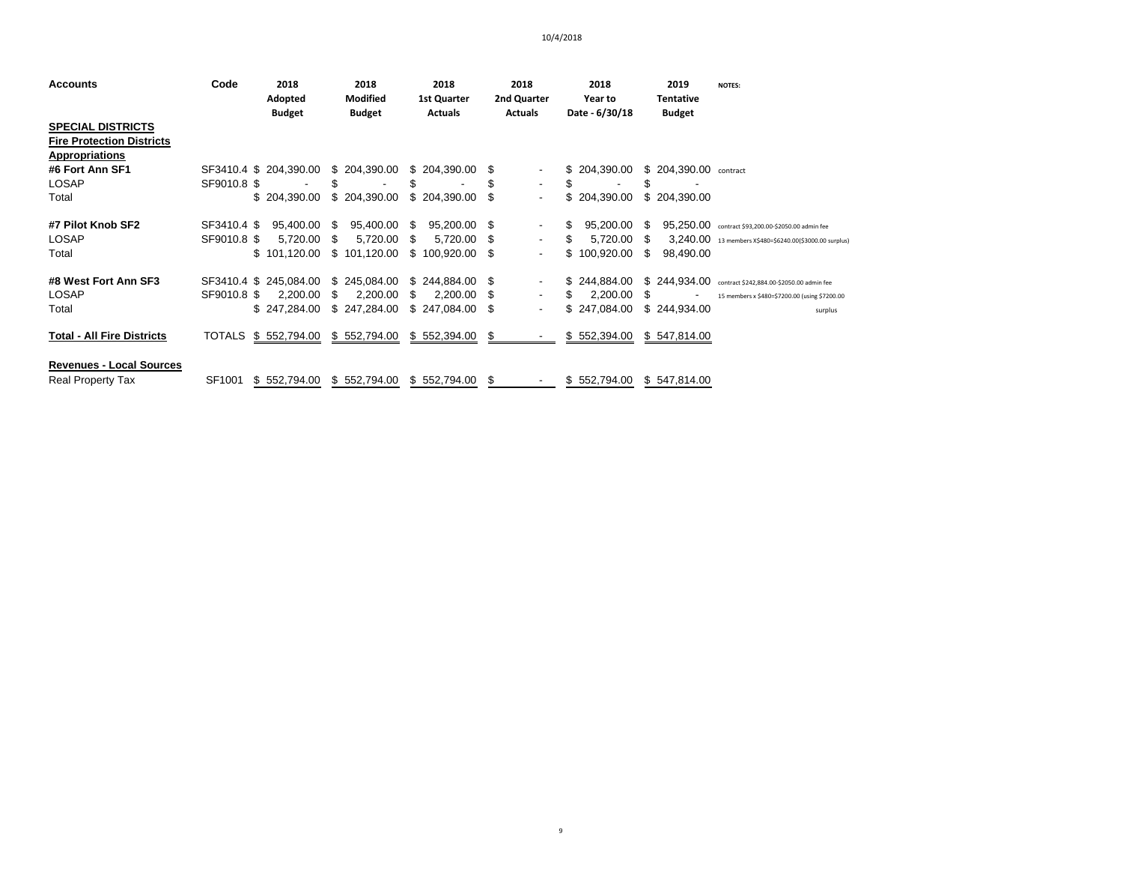| <b>Accounts</b>                   | Code        | 2018                     | 2018                             | 2018                   | 2018                             | 2018                      | 2019                       | <b>NOTES:</b>                                           |
|-----------------------------------|-------------|--------------------------|----------------------------------|------------------------|----------------------------------|---------------------------|----------------------------|---------------------------------------------------------|
|                                   |             | Adopted<br><b>Budget</b> | <b>Modified</b><br><b>Budget</b> | 1st Quarter<br>Actuals | 2nd Quarter<br>Actuals           | Year to<br>Date - 6/30/18 | Tentative<br><b>Budget</b> |                                                         |
| <b>SPECIAL DISTRICTS</b>          |             |                          |                                  |                        |                                  |                           |                            |                                                         |
| <b>Fire Protection Districts</b>  |             |                          |                                  |                        |                                  |                           |                            |                                                         |
| <b>Appropriations</b>             |             |                          |                                  |                        |                                  |                           |                            |                                                         |
| #6 Fort Ann SF1                   |             | SF3410.4 \$ 204,390.00   | \$204,390.00                     | \$204,390.00           | - 5                              | \$204,390.00              | \$ 204,390.00 contract     |                                                         |
| LOSAP                             | SF9010.8 \$ |                          | S                                | \$                     | ۰.                               | \$                        | \$                         |                                                         |
| Total                             |             | \$204,390.00             | \$204,390.00                     | \$204,390.00           | - 35<br>۰.                       | \$204,390.00              | \$ 204,390.00              |                                                         |
| #7 Pilot Knob SF2                 | SF3410.4 \$ | 95,400.00 \$             | 95,400.00                        | 95,200.00 \$<br>-S     |                                  | 95,200.00<br>\$.          | 95,250.00<br>S.            | contract \$93,200.00-\$2050.00 admin fee                |
| <b>LOSAP</b>                      | SF9010.8 \$ | 5,720.00                 | 5,720.00<br>S                    | S<br>5,720.00          | - 5<br>۰.                        | 5,720.00<br>S             | S.                         | 3,240.00 13 members X\$480=\$6240.00(\$3000.00 surplus) |
| Total                             |             | \$101,120.00             | \$101,120.00                     | \$100,920.00           | \$.<br>$\overline{\phantom{0}}$  | \$100,920.00              | \$.<br>98,490.00           |                                                         |
| #8 West Fort Ann SF3              |             | SF3410.4 \$ 245,084.00   | \$245,084.00                     | \$244,884.00           | - \$                             | \$244,884.00              | \$244,934.00               | contract \$242,884.00-\$2050.00 admin fee               |
| LOSAP                             | SF9010.8 \$ | 2,200.00                 | 2,200.00<br>S                    | S<br>2.200.00          | \$.<br>$\overline{\phantom{a}}$  | 2.200.00<br>S             | S                          | 15 members x \$480=\$7200.00 (using \$7200.00           |
| Total                             |             | \$247.284.00             | \$247,284.00                     | \$247,084.00           | - \$<br>$\overline{\phantom{a}}$ | \$247,084.00              | \$244,934.00               | surplus                                                 |
| <b>Total - All Fire Districts</b> |             | TOTALS \$ 552,794.00     | \$552,794.00                     | \$552,394.00           | S.                               | \$552,394.00              | \$547,814.00               |                                                         |
| <b>Revenues - Local Sources</b>   |             |                          |                                  |                        |                                  |                           |                            |                                                         |
| <b>Real Property Tax</b>          | SF1001      | \$552,794.00             | \$552,794.00                     | \$552,794.00           | -S                               | \$552,794.00              | \$547,814.00               |                                                         |